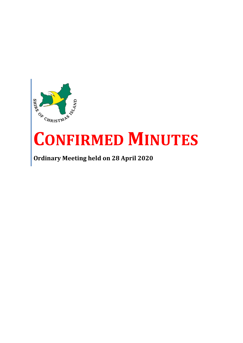

# **CONFIRMED MINUTES**

**Ordinary Meeting held on 28 April 2020**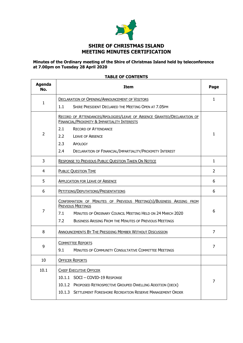

# **Minutes of the Ordinary meeting of the Shire of Christmas Island held by teleconference at 7.00pm on Tuesday 28 April 2020**

# **TABLE OF CONTENTS**

 $\blacksquare$ 

| <b>Agenda</b><br>No. | <b>Item</b>                                                                                                             | Page           |
|----------------------|-------------------------------------------------------------------------------------------------------------------------|----------------|
| 1                    | <b>DECLARATION OF OPENING/ANNOUNCEMENT OF VISITORS</b>                                                                  | $\mathbf{1}$   |
|                      | SHIRE PRESIDENT DECLARED THE MEETING OPEN AT 7.05PM<br>1.1                                                              |                |
|                      | RECORD OF ATTENDANCES/APOLOGIES/LEAVE OF ABSENCE GRANTED/DECLARATION OF<br>FINANCIAL/PROXIMITY & IMPARTIALITY INTERESTS |                |
|                      | 2.1<br><b>RECORD OF ATTENDANCE</b>                                                                                      |                |
| $\overline{2}$       | 2.2<br><b>LEAVE OF ABSENCE</b>                                                                                          | 1              |
|                      | 2.3<br>APOLOGY                                                                                                          |                |
|                      | 2.4<br>DECLARATION OF FINANCIAL/IMPARTIALITY/PROXIMITY INTEREST                                                         |                |
| 3                    | RESPONSE TO PREVIOUS PUBLIC QUESTION TAKEN ON NOTICE                                                                    | $\mathbf{1}$   |
| 4                    | <b>PUBLIC QUESTION TIME</b>                                                                                             | $\overline{2}$ |
| 5                    | <b>APPLICATION FOR LEAVE OF ABSENCE</b>                                                                                 | 6              |
| 6                    | PETITIONS/DEPUTATIONS/PRESENTATIONS                                                                                     |                |
|                      | CONFIRMATION OF MINUTES OF PREVIOUS MEETING(S)/BUSINESS ARISING FROM<br><b>PREVIOUS MEETINGS</b>                        |                |
| 7                    | MINUTES OF ORDINARY COUNCIL MEETING HELD ON 24 MARCH 2020<br>7.1                                                        | 6              |
|                      | 7.2<br><b>BUSINESS ARISING FROM THE MINUTES OF PREVIOUS MEETINGS</b>                                                    |                |
| 8                    | ANNOUNCEMENTS BY THE PRESIDING MEMBER WITHOUT DISCUSSION                                                                | $\overline{7}$ |
| 9                    | <b>COMMITTEE REPORTS</b>                                                                                                | 7              |
|                      | 9.1<br><b>MINUTES OF COMMUNITY CONSULTATIVE COMMITTEE MEETINGS</b>                                                      |                |
| 10                   | <b>OFFICER REPORTS</b>                                                                                                  |                |
| 10.1                 | <b>CHIEF EXECUTIVE OFFICER</b>                                                                                          |                |
|                      | 10.1.1 SOCI - COVID-19 RESPONSE                                                                                         | 7              |
|                      | 10.1.2<br>PROPOSED RETROSPECTIVE GROUPED DWELLING ADDITION (DECK)                                                       |                |
|                      | <b>SETTLEMENT FORESHORE RECREATION RESERVE MANAGEMENT ORDER</b><br>10.1.3                                               |                |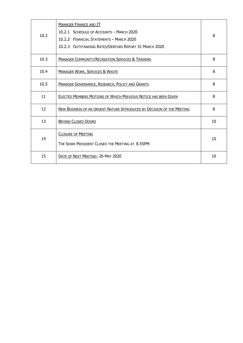| 10.2 | <b>MANAGER FINANCE AND IT</b><br>10.2.1 SCHEDULE OF ACCOUNTS - MARCH 2020<br>10.2.2 FINANCIAL STATEMENTS - MARCH 2020<br>10.2.3 OUTSTANDING RATES/DEBTORS REPORT 31 MARCH 2020 | 8  |
|------|--------------------------------------------------------------------------------------------------------------------------------------------------------------------------------|----|
| 10.3 | <b>MANAGER COMMUNITY/RECREATION SERVICES &amp; TRAINING</b>                                                                                                                    | 8  |
| 10.4 | <b>MANAGER WORK, SERVICES &amp; WASTE</b>                                                                                                                                      | 8  |
| 10.5 | <b>MANAGER GOVERNANCE, RESEARCH, POLICY AND GRANTS</b>                                                                                                                         | 8  |
| 11   | <b>ELECTED MEMBERS MOTIONS OF WHICH PREVIOUS NOTICE HAS BEEN GIVEN</b>                                                                                                         | 8  |
| 12   | NEW BUSINESS OF AN URGENT NATURE INTRODUCED BY DECISION OF THE MEETING                                                                                                         | 8  |
| 13   | <b>BEHIND CLOSED DOORS</b>                                                                                                                                                     | 10 |
| 14   | <b>CLOSURE OF MEETING</b><br>THE SHIRE PRESIDENT CLOSED THE MEETING AT 8.55PM                                                                                                  | 10 |
| 15   | DATE OF NEXT MEETING: 26 MAY 2020                                                                                                                                              | 10 |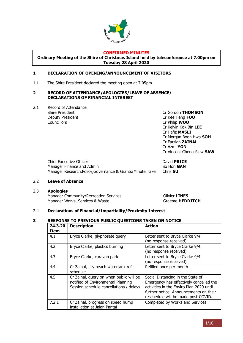

#### **CONFIRMED MINUTES**

**Ordinary Meeting of the Shire of Christmas Island held by teleconference at 7.00pm on Tuesday 28 April 2020**

## <span id="page-3-0"></span>**1 DECLARATION OF OPENING/ANNOUNCEMENT OF VISITORS**

1.1 The Shire President declared the meeting open at 7.05pm.

#### <span id="page-3-1"></span>**2 RECORD OF ATTENDANCE/APOLOGIES/LEAVE OF ABSENCE/ DECLARATIONS OF FINANCIAL INTEREST**

2.1 Record of Attendance Deputy President **Cr Kee Heng FOO** Councillors Cr Philip **WOO**

Shire President Cr Gordon **THOMSON** Cr Kelvin Kok Bin **LEE** Cr Hafiz **MASLI** Cr Morgan Boon Hwa **SOH** Cr Farzian **ZAINAL** Cr Azmi **YON** Cr Vincent Cheng-Siew **SAW**

**Chief Executive Officer Chief Executive Officer Chief Executive Officer Chief Executive Officer Chief Executive Officer** Manager Finance and Admin So Hon **GAN** Manager Research,Policy,Governance & Grants/Minute Taker Chris **SU**

# 2.2 **Leave of Absence**

2.3 **Apologies** Manager Community/Recreation Services **Community/Recreation Services** Manager Works, Services & Waste Graeme **HEDDITCH** 

## 2.4 **Declarations of Financial/Impartiality/Proximity Interest**

# <span id="page-3-2"></span>**3 RESPONSE TO PREVIOUS PUBLIC QUESTIONS TAKEN ON NOTICE**

<span id="page-3-3"></span>

| 24.3.20<br><b>Item</b> | <b>Description</b>                                                                                                       | <b>Action</b>                                                                                                                                                                                             |
|------------------------|--------------------------------------------------------------------------------------------------------------------------|-----------------------------------------------------------------------------------------------------------------------------------------------------------------------------------------------------------|
| 4.1                    | Bryce Clarke, glyphosate query                                                                                           | Letter sent to Bryce Clarke 9/4<br>(no response received)                                                                                                                                                 |
| 4.2                    | Bryce Clarke, plastics burning                                                                                           | Letter sent to Bryce Clarke 9/4<br>(no response received)                                                                                                                                                 |
| 4.3                    | Bryce Clarke, caravan park                                                                                               | Letter sent to Bryce Clarke 9/4<br>(no response received)                                                                                                                                                 |
| 4.4                    | Cr Zainal, Lily beach watertank refill<br>schedule                                                                       | Refilled once per month                                                                                                                                                                                   |
| 4.5                    | Cr Zainal, query on when public will be<br>notified of Environmental Planning<br>Session schedule cancellations / delays | Social Distancing in the State of<br>Emergency has effectively cancelled the<br>activities in the Enviro Plan 2020 until<br>further notice. Announcements on their<br>reschedule will be made post-COVID. |
| 7.2.1                  | Cr Zainal, progress on speed hump<br>installation at Jalan Pantai                                                        | Completed by Works and Services                                                                                                                                                                           |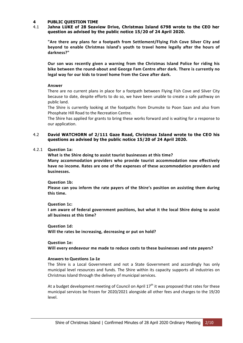## **4 PUBLIC QUESTION TIME**

## 4.1 **Jahna LUKE of 28 Seaview Drive, Christmas Island 6798 wrote to the CEO her question as advised by the public notice 15/20 of 24 April 2020.**

**"Are there any plans for a footpath from Settlement/Flying Fish Cove Silver City and beyond to enable Christmas Island's youth to travel home legally after the hours of darkness?"**

**Our son was recently given a warning from the Christmas Island Police for riding his bike between the round-about and George Fam Centre after dark. There is currently no legal way for our kids to travel home from the Cove after dark.**

# **Answer**

There are no current plans in place for a footpath between Flying Fish Cove and Silver City because to date, despite efforts to do so, we have been unable to create a safe pathway on public land.

The Shire is currently looking at the footpaths from Drumsite to Poon Saan and also from Phosphate Hill Road to the Recreation Centre.

The Shire has applied for grants to bring these works forward and is waiting for a response to our application.

## 4.2 **David WATCHORN of 2/111 Gaze Road, Christmas Island wrote to the CEO his questions as advised by the public notice 15/20 of 24 April 2020.**

# 4.2.1 **Question 1a:**

**What is the Shire doing to assist tourist businesses at this time? Many accommodation providers who provide tourist accommodation now effectively have no income. Rates are one of the expenses of these accommodation providers and businesses.**

## **Question 1b:**

**Please can you inform the rate payers of the Shire's position on assisting them during this time.**

## **Question 1c:**

**I am aware of federal government positions, but what it the local Shire doing to assist all business at this time?**

**Question 1d:**

**Will the rates be increasing, decreasing or put on hold?**

## **Question 1e:**

**Will every endeavour me made to reduce costs to these businesses and rate payers?**

## **Answers to Questions 1a-1e**

The Shire is a Local Government and not a State Government and accordingly has only municipal level resources and funds. The Shire within its capacity supports all industries on Christmas Island through the delivery of municipal services.

At a budget development meeting of Council on April  $17<sup>th</sup>$  it was proposed that rates for these municipal services be frozen for 2020/2021 alongside all other fees and charges to the 19/20 level.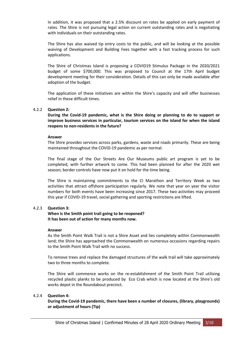In addition, it was proposed that a 2.5% discount on rates be applied on early payment of rates. The Shire is not pursuing legal action on current outstanding rates and is negotiating with individuals on their outstanding rates.

The Shire has also waived tip entry costs to the public, and will be looking at the possible waiving of Development and Building Fees together with a fast tracking process for such applications.

The Shire of Christmas Island is proposing a COVID19 Stimulus Package in the 2020/2021 budget of some \$700,000. This was proposed to Council at the 17th April budget development meeting for their consideration. Details of this can only be made available after adoption of the budget.

The application of these initiatives are within the Shire's capacity and will offer businesses relief in these difficult times.

# 4.2.2 **Question 2:**

**During the Covid-19 pandemic, what is the Shire doing or planning to do to support or improve business services in particular, tourism services on the island for when the island reopens to non-residents in the future?**

## **Answer**

The Shire provides services across parks, gardens, waste and roads primarily. These are being maintained throughout the COVID-19 pandemic as per normal.

The final stage of the Our Streets Are Our Museums public art program is yet to be completed, with further artwork to come. This had been planned for after the 2020 wet season; border controls have now put it on hold for the time being.

The Shire is maintaining commitments to the CI Marathon and Territory Week as two activities that attract offshore participation regularly. We note that year on year the visitor numbers for both events have been increasing since 2017. These two activities may proceed this year if COVID-19 travel, social gathering and sporting restrictions are lifted.

## 4.2.3 **Question 3:**

**When is the Smith point trail going to be reopened? It has been out of action for many months now.**

## **Answer**

As the Smith Point Walk Trail is not a Shire Asset and lies completely within Commonwealth land; the Shire has approached the Commonwealth on numerous occasions regarding repairs to the Smith Point Walk Trail with no success.

To remove trees and replace the damaged structures of the walk trail will take approximately two to three months to complete.

The Shire will commence works on the re-establishment of the Smith Point Trail utilising recycled plastic planks to be produced by Eco Crab which is now located at the Shire's old works depot in the Roundabout precinct.

## 4.2.4 **Question 4:**

**During the Covid-19 pandemic, there have been a number of closures, (library, playgrounds) or adjustment of hours (Tip)**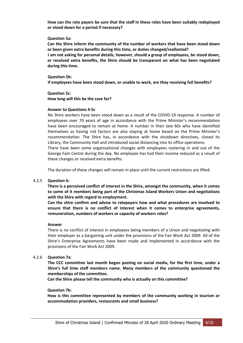**How can the rate payers be sure that the staff in these roles have been suitably redeployed or stood down for a period if necessary?**

#### **Question 5a:**

**Can the Shire inform the community of the number of workers that have been stood down or been given extra benefits during this time, or duties changed/reallocted? I am not asking for personal details, however, should a group of employees, be stood down, or received extra benefits, the Shire should be transparent on what has been negotiated during this time.**

**Question 5b: If employees have been stood down, or unable to work, are they receiving full benefits?**

**Question 5c: How long will this be the case for?**

#### **Answer to Questions 4-5c**

No Shire workers have been stood down as a result of the COVID-19 response. A number of employees over 70 years of age in accordance with the Prime Minister's recommendation have been encouraged to remain at home. A number in their late 60s who have identified themselves as having risk factors are also staying at home based on the Prime Minister's recommendation. The Shire has, in accordance with the shutdown directives, closed its Library, the Community Hall and introduced social distancing into its office operations. There have been some organizational changes with employees rostering in and out of the George Fam Centre during the day. No employee has had their income reduced as a result of

these changes or received extra benefits.

The duration of these changes will remain in place until the current restrictions are lifted.

## 4.2.5 **Question 6:**

**There is a perceived conflict of interest in the Shire, amongst the community, when it comes to some of it members being part of the Christmas Island Workers Union and negotiations with the Shire with regard to employment.**

**Can the shire confirm and advise to ratepayers how and what procedures are involved to ensure that there is no conflict of interest when it comes to enterprise agreements, remuneration, numbers of workers or capacity of workers roles?**

#### **Answer**

There is no conflict of interest in employees being members of a Union and negotiating with their employer as a bargaining unit under the provisions of the Fair Work Act 2009. All of the Shire's Enterprise Agreements have been made and implemented in accordance with the provisions of the Fair Work Act 2009.

## 4.2.6 **Question 7a:**

**The CCC committee last month began posting on social media, for the first time, under a Shire's full time staff members name. Many members of the community questioned the memberships of the committee.**

**Can the Shire please tell the community who is actually on this committee?**

## **Question 7b:**

**How is this committee represented by members of the community working in tourism or accommodation providers, restaurants and small business?**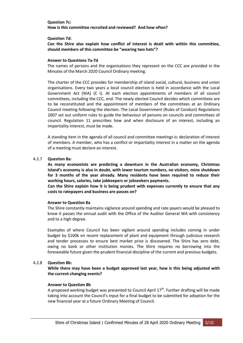#### **Question 7c: How is this committee recruited and reviewed? And how often?**

#### **Question 7d:**

**Can the Shire also explain how conflict of interest is dealt with within this committee, should members of this committee be "wearing two hats"?**

#### **Answer to Questions 7a-7d**

The names of persons and the organisations they represent on the CCC are provided in the Minutes of the March 2020 Council Ordinary meeting.

The charter of the CCC provides for membership of island social, cultural, business and union organisations. Every two years a local council election is held in accordance with the Local Government Act (WA) (C I). At each election appointments of members of all council committees, including the CCC, end. The newly elected Council decides which committees are to be reconstituted and the appointment of members of the committees at an Ordinary Council meeting following the election. The Local Government (Rules of Conduct) Regulations 2007 set out uniform rules to guide the behaviour of persons on councils and committees of council. Regulation 11 prescribes how and when disclosure of an interest, including an impartiality interest, must be made.

A standing item in the agenda of all council and committee meetings is: declaration of interest of members. A member, who has a conflict or impartiality interest in a matter on the agenda of a meeting must declare an interest.

## 4.2.7 **Question 8a:**

**As many economists are predicting a downturn in the Australian economy, Christmas Island's economy is also in doubt, with lower tourism numbers, no visitors, mine shutdown for 3 months of the year already. Many residents have been required to reduce their working hours, salaries, take jobkeepers or jobseekers payments.**

**Can the Shire explain how it is being prudent with expenses currently to ensure that any costs to ratepayers and business are passes on?**

## **Answer to Question 8a**

The Shire constantly maintains vigilance around spending and rate payers would be pleased to know it passes the annual audit with the Office of the Auditor General WA with consistency and to a high degree.

Examples of where Council has been vigilant around spending includes coming in under budget by \$100k on recent replacement of plant and equipment through judicious research and tender processes to ensure best market price is discovered. The Shire has zero debt, owing no bank or other institution monies. The Shire requires no borrowing into the foreseeable future given the prudent financial discipline of the current and previous budgets.

## 4.2.8 **Question 8b:**

**While there may have been a budget approved last year, how is this being adjusted with the current changing events?**

## **Answer to Question 8b**

A proposed working budget was presented to Council April 17<sup>th</sup>. Further drafting will be made taking into account the Council's input for a final budget to be submitted for adoption for the new financial year at a future Ordinary Meeting of Council.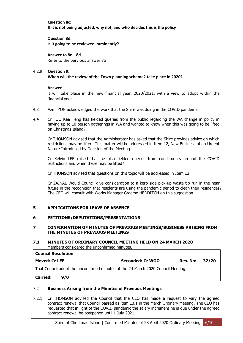**Question 8c: If it is not being adjusted, why not, and who decides this is the policy**

**Question 8d: Is it going to be reviewed imminently?**

**Answer to 8c – 8d** Refer to the pervious answer 8b

#### 4.2.9 **Question 9: When will the review of the Town planning scheme2 take place in 2020?**

# **Answer**

It will take place in the new financial year, 2020/2021, with a view to adopt within the financial year

- 4.3 Azmi YON acknowledged the work that the Shire was doing in the COVID pandemic.
- 4.4 Cr FOO Kee Heng has fielded queries from the public regarding the WA change in policy in having up to 10 person gatherings in WA and wanted to know when this was going to be lifted on Christmas Island?

Cr THOMSON advised that the Administrator has asked that the Shire provides advice on which restrictions may be lifted. This matter will be addressed in Item 12, New Business of an Urgent Nature Introduced by Decision of the Meeting.

Cr Kelvin LEE raised that he also fielded queries from constituents around the COVID restrictions and when these may be lifted?

Cr THOMSON advised that questions on this topic will be addressed in Item 12.

Cr ZAINAL Would Council give consideration to a kerb side pick-up waste tip run in the near future in the recognition that residents are using the pandemic period to clean their residences? The CEO will consult with Works Manager Graeme HEDDITCH on this suggestion.

# <span id="page-8-0"></span>**5 APPLICATIONS FOR LEAVE OF ABSENCE**

# <span id="page-8-1"></span>**6 PETITIONS/DEPUTATIONS/PRESENTATIONS**

## <span id="page-8-2"></span>**7 CONFIRMATION OF MINUTES OF PREVIOUS MEETINGS/BUSINESS ARISING FROM THE MINUTES OF PREVIOUS MEETINGS**

## **7.1 MINUTES OF ORDINARY COUNCIL MEETING HELD ON 24 MARCH 2020** Members considered the unconfirmed minutes.

**Council Resolution Moved: Cr LEE Seconded: Cr WOO Res. No: 32/20** That Council adopt the unconfirmed minutes of the 24 March 2020 Council Meeting. **Carried: 9/0**

# 7.2 **Business Arising from the Minutes of Previous Meetings**

7.2.1 Cr THOMSON advised the Council that the CEO has made a request to vary the agreed contract renewal that Council passed as item 13.1 in the March Ordinary Meeting. The CEO has requested that in light of the COVID pandemic the salary increment he is due under the agreed contract renewal be postponed until 1 July 2021.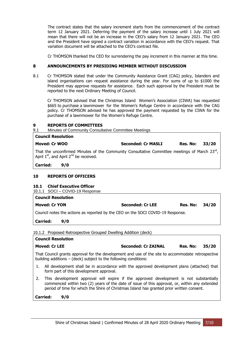The contract states that the salary increment starts from the commencement of the contract term 12 January 2021. Deferring the payment of the salary increase until 1 July 2021 will mean that there will not be an increase in the CEO's salary from 12 January 2021. The CEO and the President have signed a contract variation in accordance with the CEO's request. That variation document will be attached to the CEO's contract file.

Cr THOMSON thanked the CEO for surrendering the pay increment in this manner at this time.

## <span id="page-9-0"></span>**8 ANNOUNCEMENTS BY PRESIDING MEMBER WITHOUT DISCUSSION**

8.1 Cr THOMSON stated that under the Community Assistance Grant (CAG) policy, Islanders and island organisations can request assistance during the year. For sums of up to \$1000 the President may approve requests for assistance. Each such approval by the President must be reported to the next Ordinary Meeting of Council.

Cr THOMSON advised that the Christmas Island Women's Association (CIWA) has requested \$665 to purchase a lawnmower for the Women's Refuge Centre in accordance with the CAG policy. Cr THOMSON advised he has approved the payment requested by the CIWA for the purchase of a lawnmower for the Women's Refuge Centre.

## <span id="page-9-1"></span>**9 REPORTS OF COMMITTEES**

9.1 Minutes of Community Consultative Committee Meetings

| <b>Council Resolution</b>                                                                                                                               |     |                           |                |  |
|---------------------------------------------------------------------------------------------------------------------------------------------------------|-----|---------------------------|----------------|--|
| <b>Moved: Cr WOO</b>                                                                                                                                    |     | <b>Seconded: Cr MASLI</b> | Res. No: 33/20 |  |
| That the unconfirmed Minutes of the Community Consultative Committee meetings of March $23^{\text{rd}}$ ,<br>April $1st$ , and April $2nd$ be received. |     |                           |                |  |
| Carried:                                                                                                                                                | 9/0 |                           |                |  |

## **10 REPORTS OF OFFICERS**

<span id="page-9-2"></span>**10.1 Chief Executive Officer**

10.1.1 SOCI – COVID-19 Response

| <b>Council Resolution</b>                                                       |                  |                |  |
|---------------------------------------------------------------------------------|------------------|----------------|--|
| <b>Moved: Cr YON</b>                                                            | Seconded: Cr LEE | Res. No: 34/20 |  |
| Council notes the actions as reported by the CEO on the SOCI COVID-19 Response. |                  |                |  |

**Carried: 9/0**

10.1.2 Proposed Retrospective Grouped Dwelling Addition (deck)

|    | <b>Council Resolution</b>                                                                                                                                                                                                                                                            |                            |          |       |
|----|--------------------------------------------------------------------------------------------------------------------------------------------------------------------------------------------------------------------------------------------------------------------------------------|----------------------------|----------|-------|
|    | <b>Moved: Cr LEE</b>                                                                                                                                                                                                                                                                 | <b>Seconded: Cr ZAINAL</b> | Res. No: | 35/20 |
|    | That Council grants approval for the development and use of the site to accommodate retrospective<br>building additions $-$ (deck) subject to the following conditions:                                                                                                              |                            |          |       |
|    | All development shall be in accordance with the approved development plans (attached) that<br>form part of this development approval.                                                                                                                                                |                            |          |       |
| 2. | This development approval will expire if the approved development is not substantially<br>commenced within two (2) years of the date of issue of this approval, or, within any extended<br>period of time for which the Shire of Christmas Island has granted prior written consent. |                            |          |       |

**Carried: 9/0**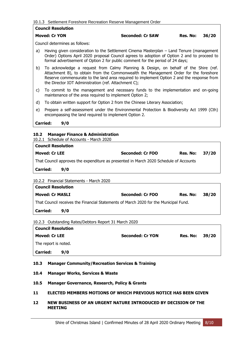## 10.1.3 Settlement Foreshore Recreation Reserve Management Order

|              | <b>Council Resolution</b>                               |                                                                                                                                                                                                                                                                            |          |       |
|--------------|---------------------------------------------------------|----------------------------------------------------------------------------------------------------------------------------------------------------------------------------------------------------------------------------------------------------------------------------|----------|-------|
|              | <b>Moved: Cr YON</b>                                    | <b>Seconded: Cr SAW</b>                                                                                                                                                                                                                                                    | Res. No: | 36/20 |
|              | Council determines as follows:                          |                                                                                                                                                                                                                                                                            |          |       |
| a)           |                                                         | Having given consideration to the Settlement Cinema Masterplan – Land Tenure (management<br>Order) Options April 2020 proposal Council agrees to adoption of Option 2 and to proceed to<br>formal advertisement of Option 2 for public comment for the period of 24 days;  |          |       |
| b)           | the Director IOT Administration (ref. Attachment C);    | To acknowledge a request from Calmy Planning & Design, on behalf of the Shire (ref.<br>Attachment B), to obtain from the Commonwealth the Management Order for the foreshore<br>Reserve commensurate to the land area required to implement Option 2 and the response from |          |       |
| $\mathsf{C}$ | maintenance of the area required to implement Option 2; | To commit to the management and necessary funds to the implementation and on-going                                                                                                                                                                                         |          |       |
| d)           |                                                         | To obtain written support for Option 2 from the Chinese Literary Association;                                                                                                                                                                                              |          |       |
| e)           | encompassing the land required to implement Option 2.   | Prepare a self-assessment under the Environmental Protection & Biodiversity Act 1999 (Cth)                                                                                                                                                                                 |          |       |
|              | <b>Carried:</b><br>9/0                                  |                                                                                                                                                                                                                                                                            |          |       |

<span id="page-10-0"></span>

| <b>Council Resolution</b>                                                             |     |                  |          |       |
|---------------------------------------------------------------------------------------|-----|------------------|----------|-------|
| <b>Moved: Cr LEE</b>                                                                  |     | Seconded: Cr FOO | Res. No: | 37/20 |
| That Council approves the expenditure as presented in March 2020 Schedule of Accounts |     |                  |          |       |
| <b>Carried:</b>                                                                       | 9/0 |                  |          |       |
|                                                                                       |     |                  |          |       |

## 10.2.2 Financial Statements - March 2020

| <b>Council Resolution</b>                                                            |     |                  |                       |  |
|--------------------------------------------------------------------------------------|-----|------------------|-----------------------|--|
| <b>Moved: Cr MASLI</b>                                                               |     | Seconded: Cr FOO | <b>Res. No: 38/20</b> |  |
| That Council receives the Financial Statements of March 2020 for the Municipal Fund. |     |                  |                       |  |
| <b>Carried:</b>                                                                      | 9/0 |                  |                       |  |

10.2.3 Outstanding Rates/Debtors Report 31 March 2020

| <b>Council Resolution</b> |                         |                |  |
|---------------------------|-------------------------|----------------|--|
| <b>Moved: Cr LEE</b>      | <b>Seconded: Cr YON</b> | Res. No: 39/20 |  |
| The report is noted.      |                         |                |  |
| <b>Carried:</b><br>9/0    |                         |                |  |

# <span id="page-10-1"></span>**10.3 Manager Community/Recreation Services & Training**

- <span id="page-10-2"></span>**10.4 Manager Works, Services & Waste**
- <span id="page-10-3"></span>**10.5 Manager Governance, Research, Policy & Grants**
- <span id="page-10-4"></span>**11 ELECTED MEMBERS MOTIONS OF WHICH PREVIOUS NOTICE HAS BEEN GIVEN**
- <span id="page-10-5"></span>**12 NEW BUSINESS OF AN URGENT NATURE INTRODUCED BY DECISION OF THE MEETING**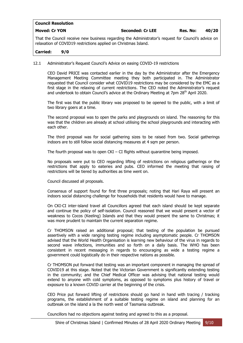| <b>Council Resolution</b> |                         |          |       |
|---------------------------|-------------------------|----------|-------|
| <b>Moved: Cr YON</b>      | <b>Seconded: Cr LEE</b> | Res. No: | 40/20 |

That the Council receive new business regarding the Administrator's request for Council's advice on relaxation of COVID19 restrictions applied on Christmas Island.

# **Carried: 9/0**

## 12.1 Administrator's Request Council's Advice on easing COVID-19 restrictions

CEO David PRICE was contacted earlier in the day by the Administrator after the Emergency Management Meeting Committee meeting they both participated in. The Administrator requested that Council consider what COVID19 restrictions may be considered by the EMC as a first stage in the relaxing of current restrictions. The CEO noted the Administrator's request and undertook to obtain Council's advice at the Ordinary Meeting at 7pm  $28<sup>th</sup>$  April 2020.

The first was that the public library was proposed to be opened to the public, with a limit of two library goers at a time.

The second proposal was to open the parks and playgrounds on island. The reasoning for this was that the children are already at school utilising the school playgrounds and interacting with each other.

The third proposal was for social gathering sizes to be raised from two. Social gatherings indoors are to still follow social distancing measures at 4 sqm per person.

The fourth proposal was to open  $CKI - CI$  flights without quarantine being imposed.

No proposals were put to CEO regarding lifting of restrictions on religious gatherings or the restrictions that apply to eateries and pubs. CEO informed the meeting that raising of restrictions will be tiered by authorities as time went on.

Council discussed all proposals.

Consensus of support found for first three proposals; noting that Hari Raya will present an indoors social distancing challenge for households that residents would have to manage.

On CKI-CI inter-island travel all Councillors agreed that each island should be kept separate and continue the policy of self-isolation. Council reasoned that we would present a vector of weakness to Cocos (Keeling) Islands and that they would present the same to Christmas; it was more prudent to maintain the current separation regime.

Cr THOMSON raised an additional proposal; that testing of the population be pursued assertively with a wide ranging testing regime including asymptomatic people. Cr THOMSON advised that the World Health Organisation is learning new behaviour of the virus in regards to second wave infections, immunities and so forth on a daily basis. The WHO has been consistent in recent messaging in regards to encouraging as wide a testing regime a government could logistically do in their respective nations as possible.

Cr THOMSON put forward that testing was an important component in managing the spread of COVID19 at this stage. Noted that the Victorian Government is significantly extending testing in the community; and the Chief Medical Officer was advising that national testing would extend to anyone with cold symptoms, as opposed to symptoms plus history of travel or exposure to a known COVID carrier at the beginning of the crisis.

CEO Price put forward lifting of restrictions should go hand in hand with tracing / tracking programs, the establishment of a suitable testing regime on island and planning for an outbreak on the island a la the north west of Tasmania outbreak.

Councillors had no objections against testing and agreed to this as a proposal.